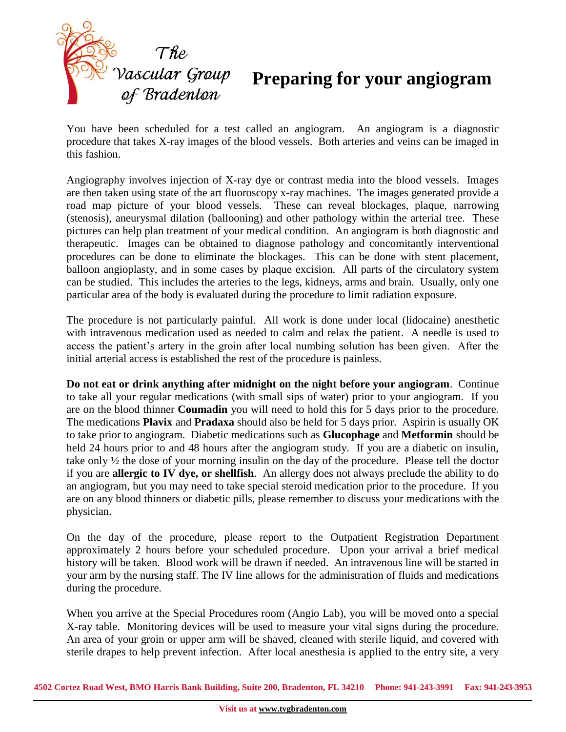

## **Preparing for your angiogram**

You have been scheduled for a test called an angiogram. An angiogram is a diagnostic procedure that takes X-ray images of the blood vessels. Both arteries and veins can be imaged in this fashion.

Angiography involves injection of X-ray dye or contrast media into the blood vessels. Images are then taken using state of the art fluoroscopy x-ray machines. The images generated provide a road map picture of your blood vessels. These can reveal blockages, plaque, narrowing (stenosis), aneurysmal dilation (ballooning) and other pathology within the arterial tree. These pictures can help plan treatment of your medical condition. An angiogram is both diagnostic and therapeutic. Images can be obtained to diagnose pathology and concomitantly interventional procedures can be done to eliminate the blockages. This can be done with stent placement, balloon angioplasty, and in some cases by plaque excision. All parts of the circulatory system can be studied. This includes the arteries to the legs, kidneys, arms and brain. Usually, only one particular area of the body is evaluated during the procedure to limit radiation exposure.

The procedure is not particularly painful. All work is done under local (lidocaine) anesthetic with intravenous medication used as needed to calm and relax the patient. A needle is used to access the patient's artery in the groin after local numbing solution has been given. After the initial arterial access is established the rest of the procedure is painless.

**Do not eat or drink anything after midnight on the night before your angiogram**. Continue to take all your regular medications (with small sips of water) prior to your angiogram. If you are on the blood thinner **Coumadin** you will need to hold this for 5 days prior to the procedure. The medications **Plavix** and **Pradaxa** should also be held for 5 days prior. Aspirin is usually OK to take prior to angiogram. Diabetic medications such as **Glucophage** and **Metformin** should be held 24 hours prior to and 48 hours after the angiogram study. If you are a diabetic on insulin, take only ½ the dose of your morning insulin on the day of the procedure. Please tell the doctor if you are **allergic to IV dye, or shellfish**. An allergy does not always preclude the ability to do an angiogram, but you may need to take special steroid medication prior to the procedure. If you are on any blood thinners or diabetic pills, please remember to discuss your medications with the physician.

On the day of the procedure, please report to the Outpatient Registration Department approximately 2 hours before your scheduled procedure. Upon your arrival a brief medical history will be taken. Blood work will be drawn if needed. An intravenous line will be started in your arm by the nursing staff. The IV line allows for the administration of fluids and medications during the procedure.

When you arrive at the Special Procedures room (Angio Lab), you will be moved onto a special X-ray table. Monitoring devices will be used to measure your vital signs during the procedure. An area of your groin or upper arm will be shaved, cleaned with sterile liquid, and covered with sterile drapes to help prevent infection. After local anesthesia is applied to the entry site, a very